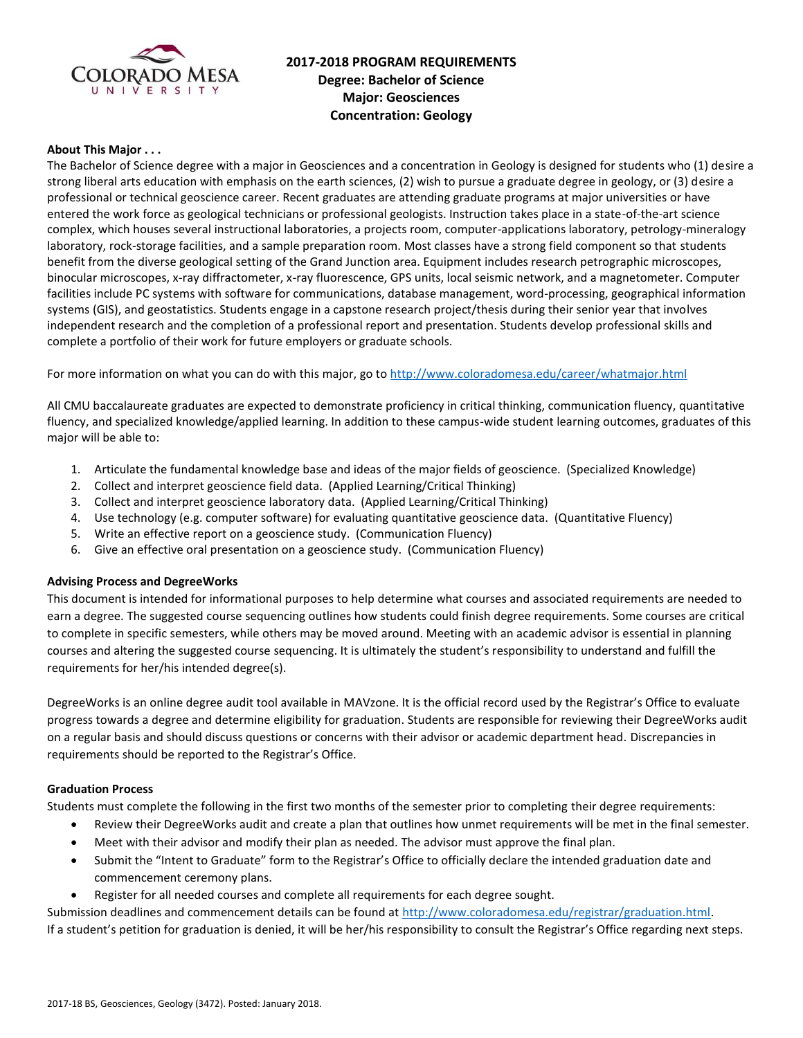

# **2017-2018 PROGRAM REQUIREMENTS Degree: Bachelor of Science Major: Geosciences Concentration: Geology**

### **About This Major . . .**

The Bachelor of Science degree with a major in Geosciences and a concentration in Geology is designed for students who (1) desire a strong liberal arts education with emphasis on the earth sciences, (2) wish to pursue a graduate degree in geology, or (3) desire a professional or technical geoscience career. Recent graduates are attending graduate programs at major universities or have entered the work force as geological technicians or professional geologists. Instruction takes place in a state-of-the-art science complex, which houses several instructional laboratories, a projects room, computer-applications laboratory, petrology-mineralogy laboratory, rock-storage facilities, and a sample preparation room. Most classes have a strong field component so that students benefit from the diverse geological setting of the Grand Junction area. Equipment includes research petrographic microscopes, binocular microscopes, x-ray diffractometer, x-ray fluorescence, GPS units, local seismic network, and a magnetometer. Computer facilities include PC systems with software for communications, database management, word-processing, geographical information systems (GIS), and geostatistics. Students engage in a capstone research project/thesis during their senior year that involves independent research and the completion of a professional report and presentation. Students develop professional skills and complete a portfolio of their work for future employers or graduate schools.

For more information on what you can do with this major, go t[o http://www.coloradomesa.edu/career/whatmajor.html](http://www.coloradomesa.edu/career/whatmajor.html)

All CMU baccalaureate graduates are expected to demonstrate proficiency in critical thinking, communication fluency, quantitative fluency, and specialized knowledge/applied learning. In addition to these campus-wide student learning outcomes, graduates of this major will be able to:

- 1. Articulate the fundamental knowledge base and ideas of the major fields of geoscience. (Specialized Knowledge)
- 2. Collect and interpret geoscience field data. (Applied Learning/Critical Thinking)
- 3. Collect and interpret geoscience laboratory data. (Applied Learning/Critical Thinking)
- 4. Use technology (e.g. computer software) for evaluating quantitative geoscience data. (Quantitative Fluency)
- 5. Write an effective report on a geoscience study. (Communication Fluency)
- 6. Give an effective oral presentation on a geoscience study. (Communication Fluency)

#### **Advising Process and DegreeWorks**

This document is intended for informational purposes to help determine what courses and associated requirements are needed to earn a degree. The suggested course sequencing outlines how students could finish degree requirements. Some courses are critical to complete in specific semesters, while others may be moved around. Meeting with an academic advisor is essential in planning courses and altering the suggested course sequencing. It is ultimately the student's responsibility to understand and fulfill the requirements for her/his intended degree(s).

DegreeWorks is an online degree audit tool available in MAVzone. It is the official record used by the Registrar's Office to evaluate progress towards a degree and determine eligibility for graduation. Students are responsible for reviewing their DegreeWorks audit on a regular basis and should discuss questions or concerns with their advisor or academic department head. Discrepancies in requirements should be reported to the Registrar's Office.

#### **Graduation Process**

Students must complete the following in the first two months of the semester prior to completing their degree requirements:

- Review their DegreeWorks audit and create a plan that outlines how unmet requirements will be met in the final semester.
- Meet with their advisor and modify their plan as needed. The advisor must approve the final plan.
- Submit the "Intent to Graduate" form to the Registrar's Office to officially declare the intended graduation date and commencement ceremony plans.
- Register for all needed courses and complete all requirements for each degree sought.

Submission deadlines and commencement details can be found at [http://www.coloradomesa.edu/registrar/graduation.html.](http://www.coloradomesa.edu/registrar/graduation.html) If a student's petition for graduation is denied, it will be her/his responsibility to consult the Registrar's Office regarding next steps.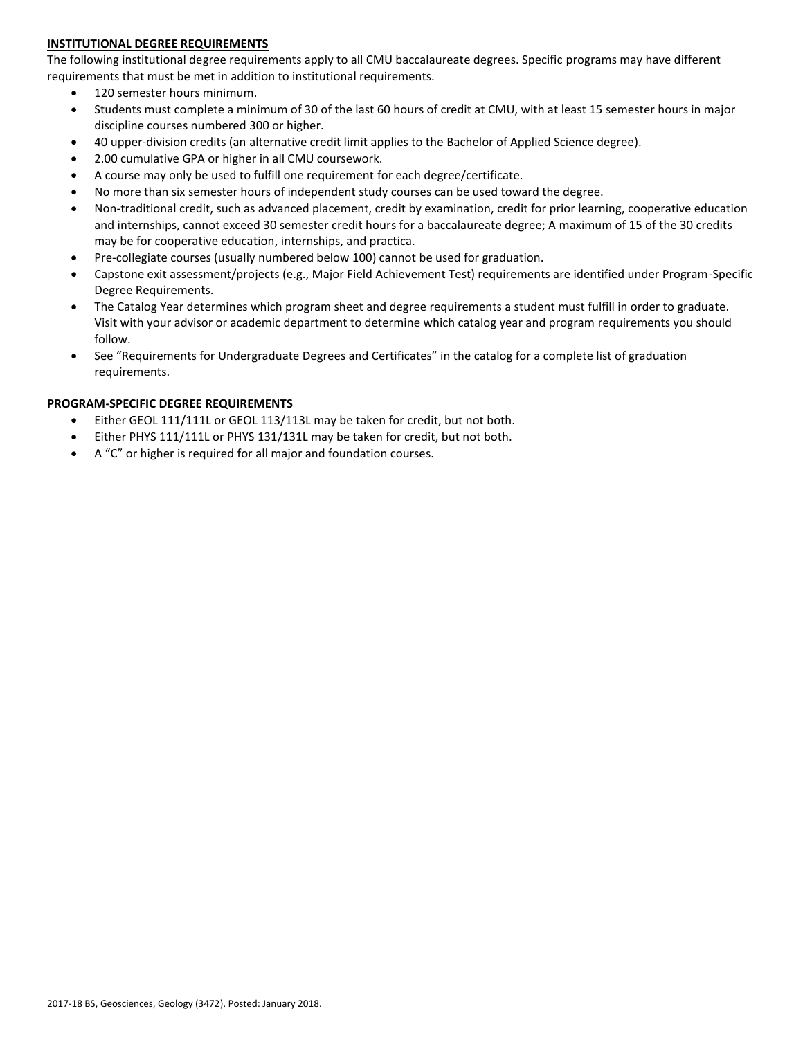# **INSTITUTIONAL DEGREE REQUIREMENTS**

The following institutional degree requirements apply to all CMU baccalaureate degrees. Specific programs may have different requirements that must be met in addition to institutional requirements.

- 120 semester hours minimum.
- Students must complete a minimum of 30 of the last 60 hours of credit at CMU, with at least 15 semester hours in major discipline courses numbered 300 or higher.
- 40 upper-division credits (an alternative credit limit applies to the Bachelor of Applied Science degree).
- 2.00 cumulative GPA or higher in all CMU coursework.
- A course may only be used to fulfill one requirement for each degree/certificate.
- No more than six semester hours of independent study courses can be used toward the degree.
- Non-traditional credit, such as advanced placement, credit by examination, credit for prior learning, cooperative education and internships, cannot exceed 30 semester credit hours for a baccalaureate degree; A maximum of 15 of the 30 credits may be for cooperative education, internships, and practica.
- Pre-collegiate courses (usually numbered below 100) cannot be used for graduation.
- Capstone exit assessment/projects (e.g., Major Field Achievement Test) requirements are identified under Program-Specific Degree Requirements.
- The Catalog Year determines which program sheet and degree requirements a student must fulfill in order to graduate. Visit with your advisor or academic department to determine which catalog year and program requirements you should follow.
- See "Requirements for Undergraduate Degrees and Certificates" in the catalog for a complete list of graduation requirements.

### **PROGRAM-SPECIFIC DEGREE REQUIREMENTS**

- Either GEOL 111/111L or GEOL 113/113L may be taken for credit, but not both.
- Either PHYS 111/111L or PHYS 131/131L may be taken for credit, but not both.
- A "C" or higher is required for all major and foundation courses.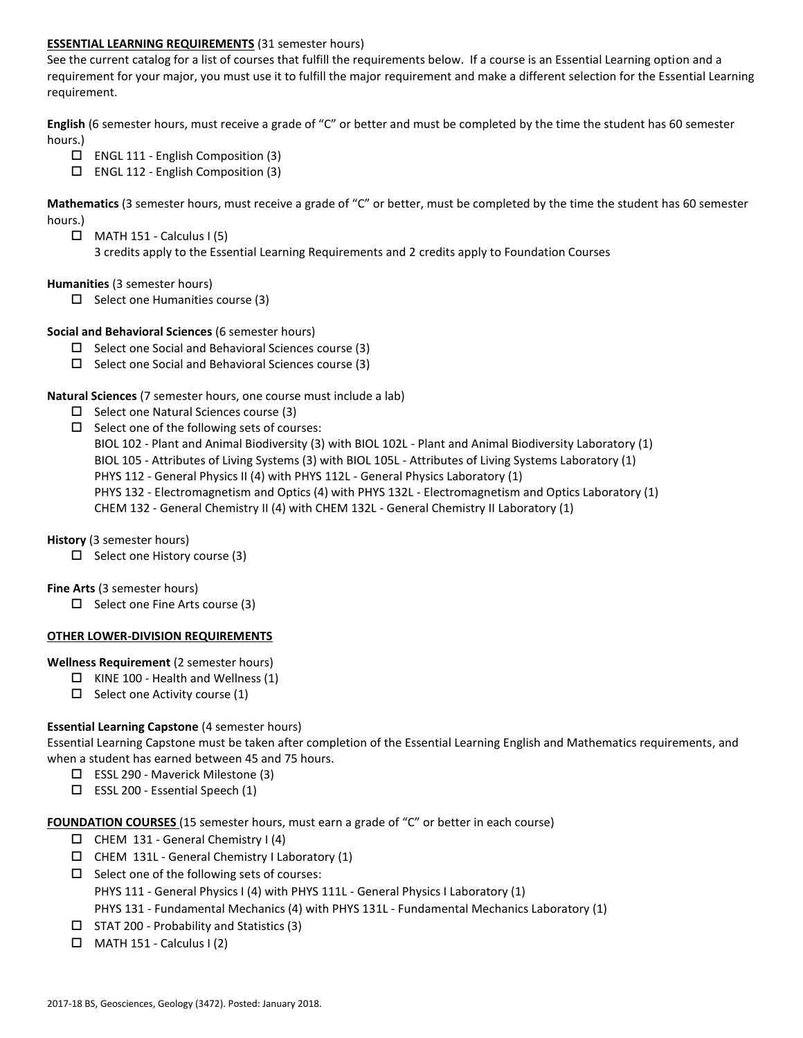### **ESSENTIAL LEARNING REQUIREMENTS** (31 semester hours)

See the current catalog for a list of courses that fulfill the requirements below. If a course is an Essential Learning option and a requirement for your major, you must use it to fulfill the major requirement and make a different selection for the Essential Learning requirement.

**English** (6 semester hours, must receive a grade of "C" or better and must be completed by the time the student has 60 semester hours.)

- $\Box$  ENGL 111 English Composition (3)
- $\Box$  ENGL 112 English Composition (3)

**Mathematics** (3 semester hours, must receive a grade of "C" or better, must be completed by the time the student has 60 semester hours.)

- $\Box$  MATH 151 Calculus I (5)
	- 3 credits apply to the Essential Learning Requirements and 2 credits apply to Foundation Courses

### **Humanities** (3 semester hours)

 $\Box$  Select one Humanities course (3)

### **Social and Behavioral Sciences** (6 semester hours)

- $\Box$  Select one Social and Behavioral Sciences course (3)
- $\Box$  Select one Social and Behavioral Sciences course (3)

#### **Natural Sciences** (7 semester hours, one course must include a lab)

- $\Box$  Select one Natural Sciences course (3)
- $\Box$  Select one of the following sets of courses:

BIOL 102 - Plant and Animal Biodiversity (3) with BIOL 102L - Plant and Animal Biodiversity Laboratory (1)

- BIOL 105 Attributes of Living Systems (3) with BIOL 105L Attributes of Living Systems Laboratory (1)
- PHYS 112 General Physics II (4) with PHYS 112L General Physics Laboratory (1)
- PHYS 132 Electromagnetism and Optics (4) with PHYS 132L Electromagnetism and Optics Laboratory (1)

CHEM 132 - General Chemistry II (4) with CHEM 132L - General Chemistry II Laboratory (1)

# **History** (3 semester hours)

 $\Box$  Select one History course (3)

#### **Fine Arts** (3 semester hours)

 $\Box$  Select one Fine Arts course (3)

# **OTHER LOWER-DIVISION REQUIREMENTS**

#### **Wellness Requirement** (2 semester hours)

- $\Box$  KINE 100 Health and Wellness (1)
- $\Box$  Select one Activity course (1)

# **Essential Learning Capstone** (4 semester hours)

Essential Learning Capstone must be taken after completion of the Essential Learning English and Mathematics requirements, and when a student has earned between 45 and 75 hours.

- ESSL 290 Maverick Milestone (3)
- $\square$  ESSL 200 Essential Speech (1)

#### **FOUNDATION COURSES** (15 semester hours, must earn a grade of "C" or better in each course)

- $\Box$  CHEM 131 General Chemistry I (4)
- $\Box$  CHEM 131L General Chemistry I Laboratory (1)
- $\square$  Select one of the following sets of courses: PHYS 111 - General Physics I (4) with PHYS 111L - General Physics I Laboratory (1) PHYS 131 - Fundamental Mechanics (4) with PHYS 131L - Fundamental Mechanics Laboratory (1)
- $\Box$  STAT 200 Probability and Statistics (3)
- $\Box$  MATH 151 Calculus I (2)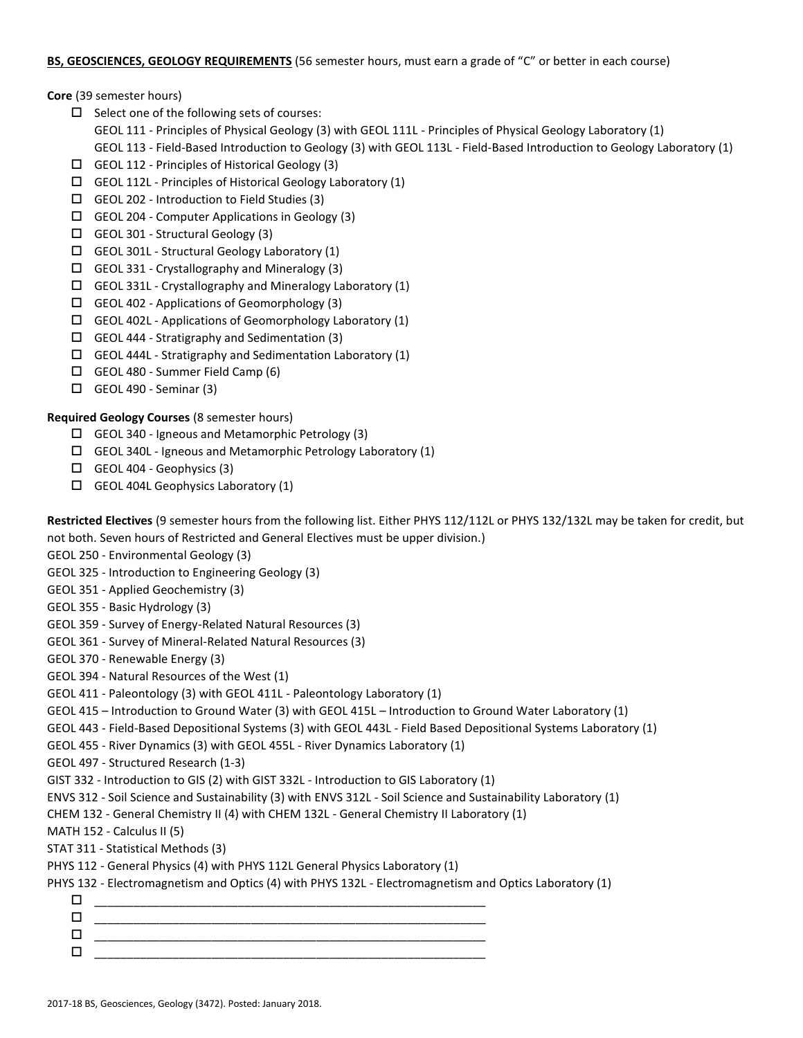# **BS, GEOSCIENCES, GEOLOGY REQUIREMENTS** (56 semester hours, must earn a grade of "C" or better in each course)

**Core** (39 semester hours)

- $\square$  Select one of the following sets of courses:
	- GEOL 111 Principles of Physical Geology (3) with GEOL 111L Principles of Physical Geology Laboratory (1)
	- GEOL 113 Field-Based Introduction to Geology (3) with GEOL 113L Field-Based Introduction to Geology Laboratory (1)
- GEOL 112 Principles of Historical Geology (3)
- $\Box$  GEOL 112L Principles of Historical Geology Laboratory (1)
- GEOL 202 Introduction to Field Studies (3)
- GEOL 204 Computer Applications in Geology (3)
- GEOL 301 Structural Geology (3)
- GEOL 301L Structural Geology Laboratory (1)
- $\Box$  GEOL 331 Crystallography and Mineralogy (3)
- $\Box$  GEOL 331L Crystallography and Mineralogy Laboratory (1)
- $\Box$  GEOL 402 Applications of Geomorphology (3)
- $\Box$  GEOL 402L Applications of Geomorphology Laboratory (1)
- GEOL 444 Stratigraphy and Sedimentation (3)
- $\Box$  GEOL 444L Stratigraphy and Sedimentation Laboratory (1)
- GEOL 480 Summer Field Camp (6)
- $\Box$  GEOL 490 Seminar (3)

# **Required Geology Courses** (8 semester hours)

- $\Box$  GEOL 340 Igneous and Metamorphic Petrology (3)
- GEOL 340L Igneous and Metamorphic Petrology Laboratory (1)
- $\Box$  GEOL 404 Geophysics (3)
- $\Box$  GEOL 404L Geophysics Laboratory (1)

**Restricted Electives** (9 semester hours from the following list. Either PHYS 112/112L or PHYS 132/132L may be taken for credit, but not both. Seven hours of Restricted and General Electives must be upper division.)

GEOL 250 - Environmental Geology (3)

GEOL 325 - Introduction to Engineering Geology (3)

- GEOL 351 Applied Geochemistry (3)
- GEOL 355 Basic Hydrology (3)
- GEOL 359 Survey of Energy-Related Natural Resources (3)
- GEOL 361 Survey of Mineral-Related Natural Resources (3)
- GEOL 370 Renewable Energy (3)
- GEOL 394 Natural Resources of the West (1)

# GEOL 411 - Paleontology (3) with GEOL 411L - Paleontology Laboratory (1)

- GEOL 415 Introduction to Ground Water (3) with GEOL 415L Introduction to Ground Water Laboratory (1)
- GEOL 443 Field-Based Depositional Systems (3) with GEOL 443L Field Based Depositional Systems Laboratory (1)
- GEOL 455 River Dynamics (3) with GEOL 455L River Dynamics Laboratory (1)
- GEOL 497 Structured Research (1-3)
- GIST 332 Introduction to GIS (2) with GIST 332L Introduction to GIS Laboratory (1)
- ENVS 312 Soil Science and Sustainability (3) with ENVS 312L Soil Science and Sustainability Laboratory (1)
- CHEM 132 General Chemistry II (4) with CHEM 132L General Chemistry II Laboratory (1)
- MATH 152 Calculus II (5)
- STAT 311 Statistical Methods (3)
- PHYS 112 General Physics (4) with PHYS 112L General Physics Laboratory (1)

# PHYS 132 - Electromagnetism and Optics (4) with PHYS 132L - Electromagnetism and Optics Laboratory (1)

 \_\_\_\_\_\_\_\_\_\_\_\_\_\_\_\_\_\_\_\_\_\_\_\_\_\_\_\_\_\_\_\_\_\_\_\_\_\_\_\_\_\_\_\_\_\_\_\_\_\_\_\_\_\_\_\_\_\_\_\_ \_\_\_\_\_\_\_\_\_\_\_\_\_\_\_\_\_\_\_\_\_\_\_\_\_\_\_\_\_\_\_\_\_\_\_\_\_\_\_\_\_\_\_\_\_\_\_\_\_\_\_\_\_\_\_\_\_\_\_\_  $\Box$   $\underline{\hspace{1cm}}$   $\underline{\hspace{1cm}}$   $\underline{\hspace{1cm}}$   $\underline{\hspace{1cm}}$   $\overline{\hspace{1cm}}$   $\overline{\hspace{1cm}}$   $\overline{\hspace{1cm}}$   $\overline{\hspace{1cm}}$   $\overline{\hspace{1cm}}$   $\overline{\hspace{1cm}}$   $\overline{\hspace{1cm}}$   $\overline{\hspace{1cm}}$   $\overline{\hspace{1cm}}$   $\overline{\hspace{1cm}}$   $\overline{\hspace{1cm}}$   $\overline{\hspace{1cm}}$   $\overline{\hspace{1$ \_\_\_\_\_\_\_\_\_\_\_\_\_\_\_\_\_\_\_\_\_\_\_\_\_\_\_\_\_\_\_\_\_\_\_\_\_\_\_\_\_\_\_\_\_\_\_\_\_\_\_\_\_\_\_\_\_\_\_\_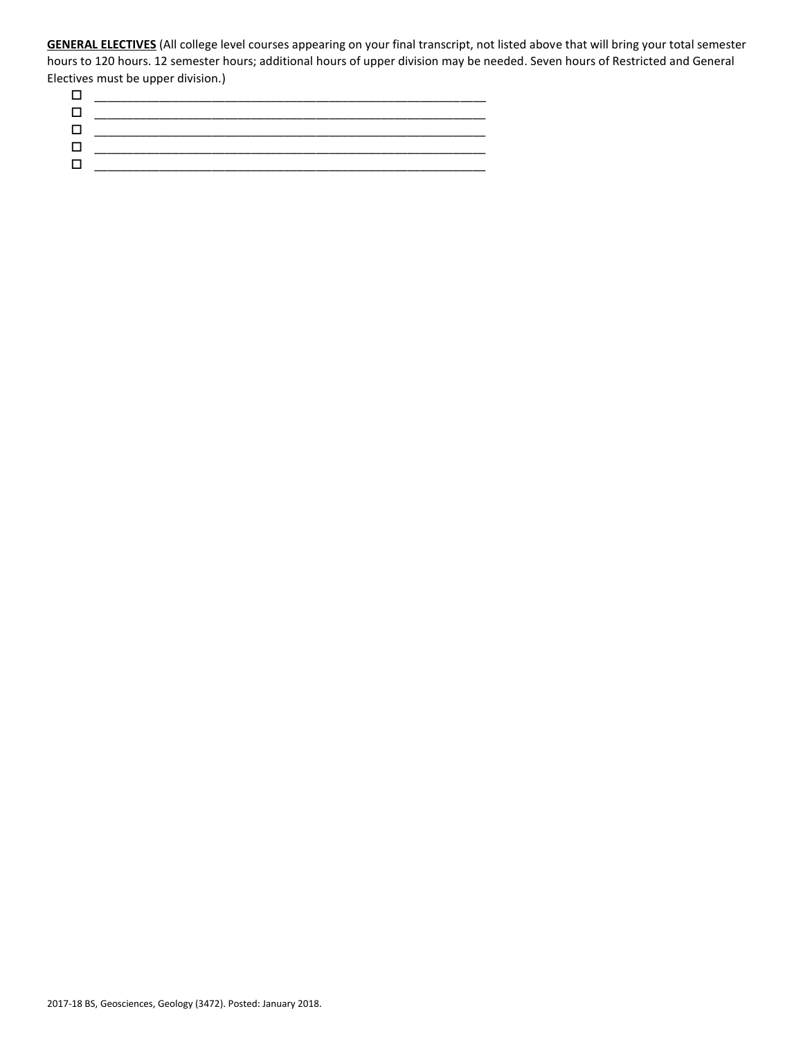**GENERAL ELECTIVES** (All college level courses appearing on your final transcript, not listed above that will bring your total semester hours to 120 hours. 12 semester hours; additional hours of upper division may be needed. Seven hours of Restricted and General Electives must be upper division.)